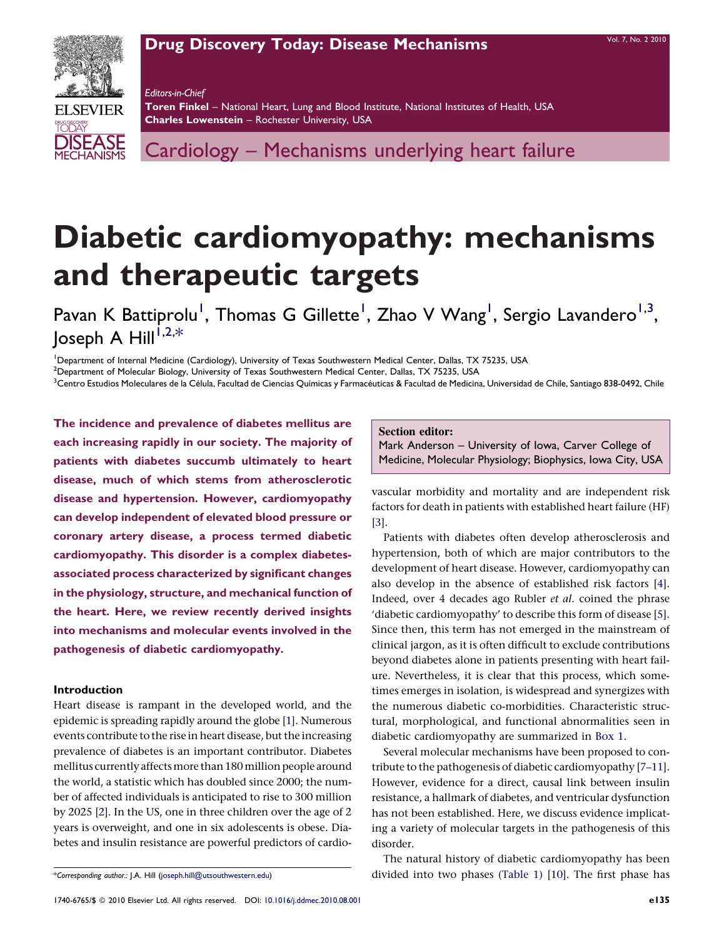## [Drug Discovery Today: Disease Mechanisms](http://dx.doi.org/10.1016/j.ddmec.2010.08.001) VOL. 7, No. 2 2010



Editors-in-Chief Toren Finkel - National Heart, Lung and Blood Institute, National Institutes of Health, USA Charles Lowenstein – Rochester University, USA

Cardiology – Mechanisms underlying heart failure

# Diabetic cardiomyopathy: mechanisms and therapeutic targets

Pavan K Battiprolu<sup>1</sup>, Thomas G Gillette<sup>1</sup>, Zhao V Wang<sup>1</sup>, Sergio Lavandero<sup>1,3</sup>, Joseph A Hill $^{1,2,\ast}$ 

<sup>1</sup>Department of Internal Medicine (Cardiology), University of Texas Southwestern Medical Center, Dallas, TX 75235, USA

 $^2$ Department of Molecular Biology, University of Texas Southwestern Medical Center, Dallas, TX 75235, USA

<sup>3</sup>Centro Estudios Moleculares de la Célula, Facultad de Ciencias Químicas y Farmacéuticas & Facultad de Medicina, Universidad de Chile, Santiago 838-0492, Chile

The incidence and prevalence of diabetes mellitus are each increasing rapidly in our society. The majority of patients with diabetes succumb ultimately to heart disease, much of which stems from atherosclerotic disease and hypertension. However, cardiomyopathy can develop independent of elevated blood pressure or coronary artery disease, a process termed diabetic cardiomyopathy. This disorder is a complex diabetesassociated process characterized by significant changes in the physiology, structure, and mechanical function of the heart. Here, we review recently derived insights into mechanisms and molecular events involved in the pathogenesis of diabetic cardiomyopathy.

## Introduction

Heart disease is rampant in the developed world, and the epidemic is spreading rapidly around the globe [[1\]](#page-6-0). Numerous events contribute to the rise in heart disease, but the increasing prevalence of diabetes is an important contributor. Diabetes mellitus currently affects more than 180 million people around the world, a statistic which has doubled since 2000; the number of affected individuals is anticipated to rise to 300 million by 2025 [\[2](#page-6-0)]. In the US, one in three children over the age of 2 years is overweight, and one in six adolescents is obese. Diabetes and insulin resistance are powerful predictors of cardioSection editor:

Mark Anderson – University of Iowa, Carver College of Medicine, Molecular Physiology; Biophysics, Iowa City, USA

vascular morbidity and mortality and are independent risk factors for death in patients with established heart failure (HF) [[3\]](#page-6-0).

Patients with diabetes often develop atherosclerosis and hypertension, both of which are major contributors to the development of heart disease. However, cardiomyopathy can also develop in the absence of established risk factors [\[4](#page-6-0)]. Indeed, over 4 decades ago Rubler et al. coined the phrase 'diabetic cardiomyopathy' to describe this form of disease [\[5](#page-6-0)]. Since then, this term has not emerged in the mainstream of clinical jargon, as it is often difficult to exclude contributions beyond diabetes alone in patients presenting with heart failure. Nevertheless, it is clear that this process, which sometimes emerges in isolation, is widespread and synergizes with the numerous diabetic co-morbidities. Characteristic structural, morphological, and functional abnormalities seen in diabetic cardiomyopathy are summarized in [Box 1.](#page-1-0)

Several molecular mechanisms have been proposed to contribute to the pathogenesis of diabetic cardiomyopathy [[7–11](#page-6-0)]. However, evidence for a direct, causal link between insulin resistance, a hallmark of diabetes, and ventricular dysfunction has not been established. Here, we discuss evidence implicating a variety of molecular targets in the pathogenesis of this disorder.

The natural history of diabetic cardiomyopathy has been divided into two phases ([Table 1](#page-1-0)) [\[10](#page-6-0)]. The first phase has

<sup>\*</sup>Corresponding author.: J.A. Hill [\(joseph.hill@utsouthwestern.edu](mailto:joseph.hill@utsouthwestern.edu))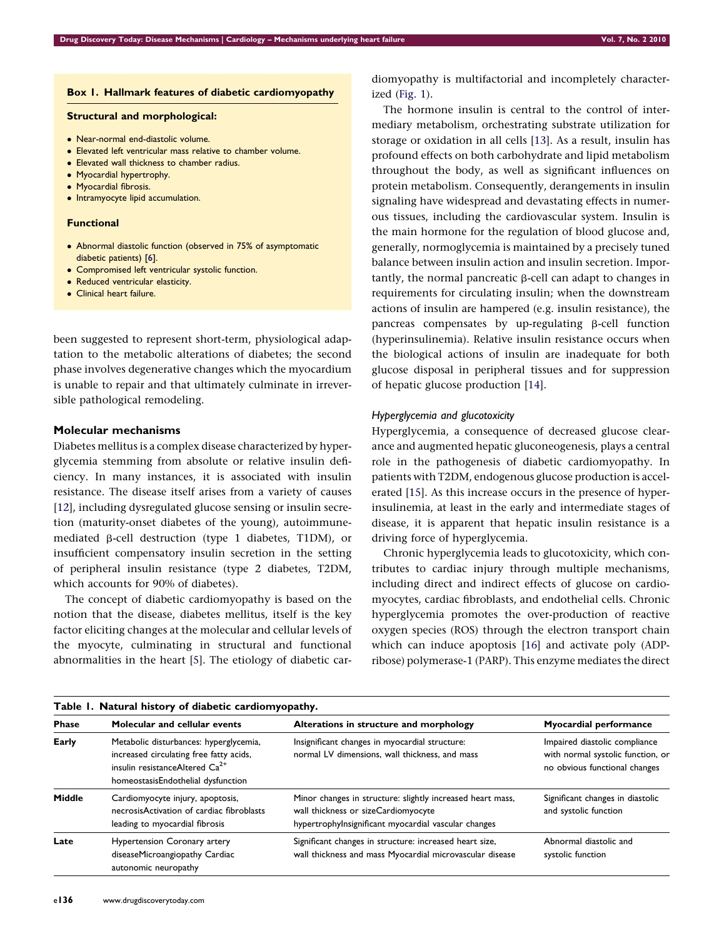## <span id="page-1-0"></span>Box 1. Hallmark features of diabetic cardiomyopathy

#### Structural and morphological:

- Near-normal end-diastolic volume.
- Elevated left ventricular mass relative to chamber volume.
- Elevated wall thickness to chamber radius.
- Myocardial hypertrophy.
- Myocardial fibrosis.
- $\bullet\,$  Intramyocyte lipid accumulation.

## Functional

- Abnormal diastolic function (observed in 75% of asymptomatic diabetic patients) [\[6](#page-6-0)].
- **Compromised left ventricular systolic function.**
- Reduced ventricular elasticity.
- Clinical heart failure.

been suggested to represent short-term, physiological adaptation to the metabolic alterations of diabetes; the second phase involves degenerative changes which the myocardium is unable to repair and that ultimately culminate in irreversible pathological remodeling.

## Molecular mechanisms

Diabetes mellitus is a complex disease characterized by hyperglycemia stemming from absolute or relative insulin deficiency. In many instances, it is associated with insulin resistance. The disease itself arises from a variety of causes [\[12\]](#page-7-0), including dysregulated glucose sensing or insulin secretion (maturity-onset diabetes of the young), autoimmunemediated  $\beta$ -cell destruction (type 1 diabetes, T1DM), or insufficient compensatory insulin secretion in the setting of peripheral insulin resistance (type 2 diabetes, T2DM, which accounts for 90% of diabetes).

The concept of diabetic cardiomyopathy is based on the notion that the disease, diabetes mellitus, itself is the key factor eliciting changes at the molecular and cellular levels of the myocyte, culminating in structural and functional abnormalities in the heart [\[5\]](#page-6-0). The etiology of diabetic cardiomyopathy is multifactorial and incompletely characterized ([Fig. 1\)](#page-2-0).

The hormone insulin is central to the control of intermediary metabolism, orchestrating substrate utilization for storage or oxidation in all cells [\[13](#page-7-0)]. As a result, insulin has profound effects on both carbohydrate and lipid metabolism throughout the body, as well as significant influences on protein metabolism. Consequently, derangements in insulin signaling have widespread and devastating effects in numerous tissues, including the cardiovascular system. Insulin is the main hormone for the regulation of blood glucose and, generally, normoglycemia is maintained by a precisely tuned balance between insulin action and insulin secretion. Importantly, the normal pancreatic  $\beta$ -cell can adapt to changes in requirements for circulating insulin; when the downstream actions of insulin are hampered (e.g. insulin resistance), the pancreas compensates by up-regulating  $\beta$ -cell function (hyperinsulinemia). Relative insulin resistance occurs when the biological actions of insulin are inadequate for both glucose disposal in peripheral tissues and for suppression of hepatic glucose production [[14](#page-7-0)].

## Hyperglycemia and glucotoxicity

Hyperglycemia, a consequence of decreased glucose clearance and augmented hepatic gluconeogenesis, plays a central role in the pathogenesis of diabetic cardiomyopathy. In patients with T2DM, endogenous glucose production is accelerated [\[15](#page-7-0)]. As this increase occurs in the presence of hyperinsulinemia, at least in the early and intermediate stages of disease, it is apparent that hepatic insulin resistance is a driving force of hyperglycemia.

Chronic hyperglycemia leads to glucotoxicity, which contributes to cardiac injury through multiple mechanisms, including direct and indirect effects of glucose on cardiomyocytes, cardiac fibroblasts, and endothelial cells. Chronic hyperglycemia promotes the over-production of reactive oxygen species (ROS) through the electron transport chain which can induce apoptosis [\[16\]](#page-7-0) and activate poly (ADPribose) polymerase-1 (PARP). This enzyme mediates the direct

| Table 1. Natural history of diabetic cardiomyopathy. |                                                                                                                                                                       |                                                                                                                                                           |                                                                                                     |
|------------------------------------------------------|-----------------------------------------------------------------------------------------------------------------------------------------------------------------------|-----------------------------------------------------------------------------------------------------------------------------------------------------------|-----------------------------------------------------------------------------------------------------|
| <b>Phase</b>                                         | Molecular and cellular events                                                                                                                                         | Alterations in structure and morphology                                                                                                                   | <b>Myocardial performance</b>                                                                       |
| Early                                                | Metabolic disturbances: hyperglycemia,<br>increased circulating free fatty acids,<br>insulin resistanceAltered Ca <sup>2+</sup><br>homeostasisEndothelial dysfunction | Insignificant changes in myocardial structure:<br>normal LV dimensions, wall thickness, and mass                                                          | Impaired diastolic compliance<br>with normal systolic function, or<br>no obvious functional changes |
| Middle                                               | Cardiomyocyte injury, apoptosis,<br>necrosisActivation of cardiac fibroblasts<br>leading to myocardial fibrosis                                                       | Minor changes in structure: slightly increased heart mass,<br>wall thickness or sizeCardiomyocyte<br>hypertrophylnsignificant myocardial vascular changes | Significant changes in diastolic<br>and systolic function                                           |
| Late                                                 | <b>Hypertension Coronary artery</b><br>diseaseMicroangiopathy Cardiac<br>autonomic neuropathy                                                                         | Significant changes in structure: increased heart size,<br>wall thickness and mass Myocardial microvascular disease                                       | Abnormal diastolic and<br>systolic function                                                         |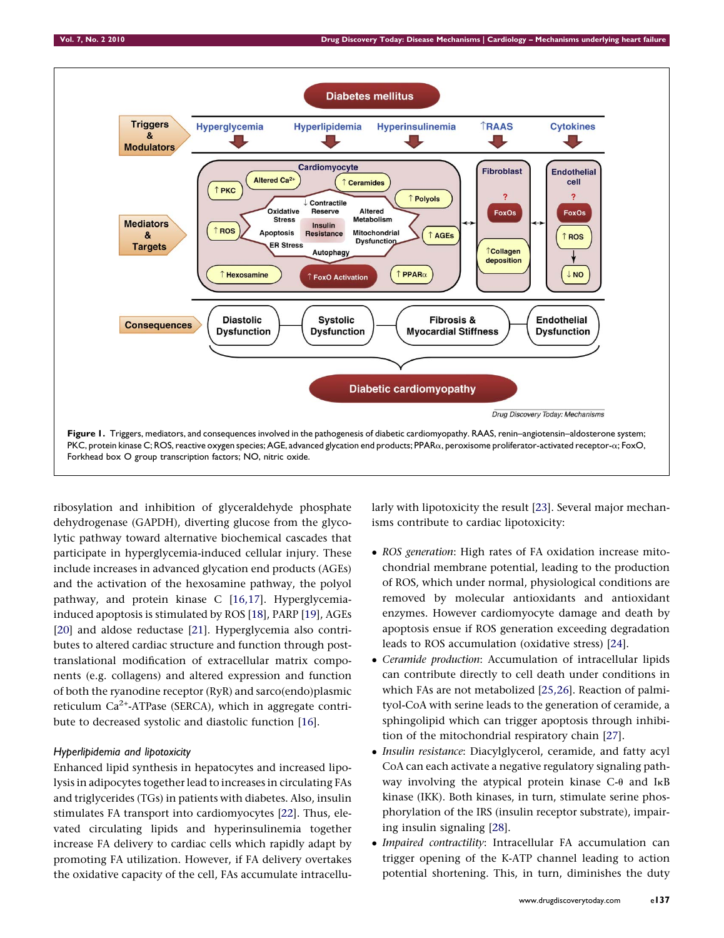<span id="page-2-0"></span>

ribosylation and inhibition of glyceraldehyde phosphate dehydrogenase (GAPDH), diverting glucose from the glycolytic pathway toward alternative biochemical cascades that participate in hyperglycemia-induced cellular injury. These include increases in advanced glycation end products (AGEs) and the activation of the hexosamine pathway, the polyol pathway, and protein kinase C [[16,17](#page-7-0)]. Hyperglycemiainduced apoptosis is stimulated by ROS [[18\]](#page-7-0), PARP [[19\]](#page-7-0), AGEs [\[20\]](#page-7-0) and aldose reductase [\[21\]](#page-7-0). Hyperglycemia also contributes to altered cardiac structure and function through posttranslational modification of extracellular matrix components (e.g. collagens) and altered expression and function of both the ryanodine receptor (RyR) and sarco(endo)plasmic reticulum  $Ca^{2+}$ -ATPase (SERCA), which in aggregate contribute to decreased systolic and diastolic function [[16](#page-7-0)].

## Hyperlipidemia and lipotoxicity

Enhanced lipid synthesis in hepatocytes and increased lipolysis in adipocytes together lead to increases in circulating FAs and triglycerides (TGs) in patients with diabetes. Also, insulin stimulates FA transport into cardiomyocytes [[22](#page-7-0)]. Thus, elevated circulating lipids and hyperinsulinemia together increase FA delivery to cardiac cells which rapidly adapt by promoting FA utilization. However, if FA delivery overtakes the oxidative capacity of the cell, FAs accumulate intracellularly with lipotoxicity the result [\[23](#page-7-0)]. Several major mechanisms contribute to cardiac lipotoxicity:

- ROS generation: High rates of FA oxidation increase mitochondrial membrane potential, leading to the production of ROS, which under normal, physiological conditions are removed by molecular antioxidants and antioxidant enzymes. However cardiomyocyte damage and death by apoptosis ensue if ROS generation exceeding degradation leads to ROS accumulation (oxidative stress) [[24\]](#page-7-0).
- Ceramide production: Accumulation of intracellular lipids can contribute directly to cell death under conditions in which FAs are not metabolized [\[25,26\]](#page-7-0). Reaction of palmityol-CoA with serine leads to the generation of ceramide, a sphingolipid which can trigger apoptosis through inhibition of the mitochondrial respiratory chain [[27](#page-7-0)].
- Insulin resistance: Diacylglycerol, ceramide, and fatty acyl CoA can each activate a negative regulatory signaling pathway involving the atypical protein kinase  $C$ - $\theta$  and I<sub>K</sub>B kinase (IKK). Both kinases, in turn, stimulate serine phosphorylation of the IRS (insulin receptor substrate), impairing insulin signaling [[28\]](#page-7-0).
- Impaired contractility: Intracellular FA accumulation can trigger opening of the K-ATP channel leading to action potential shortening. This, in turn, diminishes the duty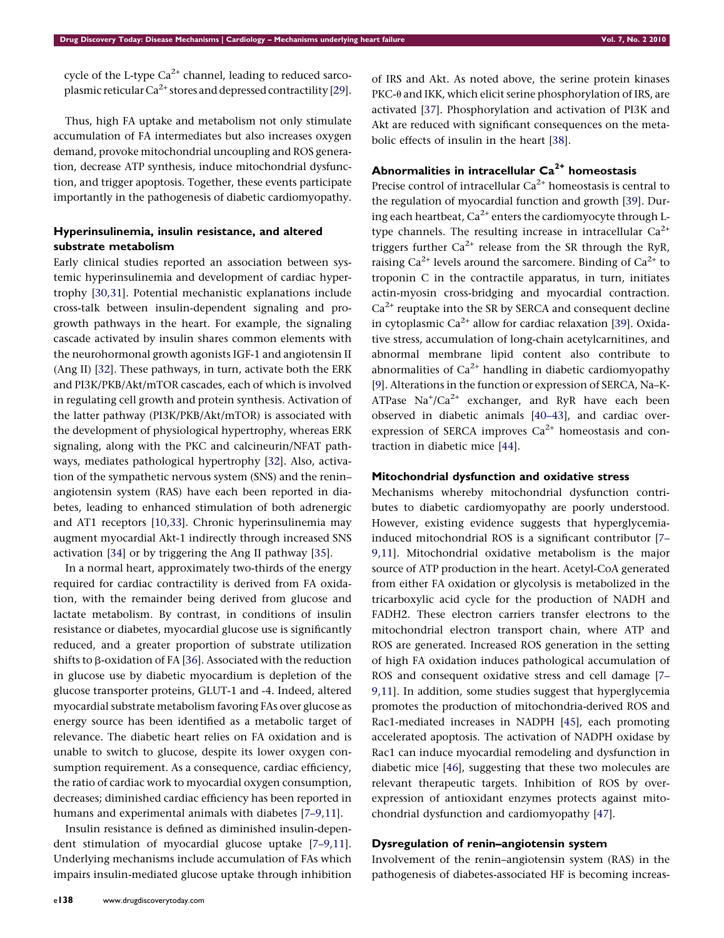cycle of the L-type  $Ca^{2+}$  channel, leading to reduced sarcoplasmic reticular  $Ca^{2+}$  stores and depressed contractility [\[29](#page-7-0)].

Thus, high FA uptake and metabolism not only stimulate accumulation of FA intermediates but also increases oxygen demand, provoke mitochondrial uncoupling and ROS generation, decrease ATP synthesis, induce mitochondrial dysfunction, and trigger apoptosis. Together, these events participate importantly in the pathogenesis of diabetic cardiomyopathy.

## Hyperinsulinemia, insulin resistance, and altered substrate metabolism

Early clinical studies reported an association between systemic hyperinsulinemia and development of cardiac hypertrophy [\[30,31\]](#page-7-0). Potential mechanistic explanations include cross-talk between insulin-dependent signaling and progrowth pathways in the heart. For example, the signaling cascade activated by insulin shares common elements with the neurohormonal growth agonists IGF-1 and angiotensin II (Ang II) [\[32](#page-7-0)]. These pathways, in turn, activate both the ERK and PI3K/PKB/Akt/mTOR cascades, each of which is involved in regulating cell growth and protein synthesis. Activation of the latter pathway (PI3K/PKB/Akt/mTOR) is associated with the development of physiological hypertrophy, whereas ERK signaling, along with the PKC and calcineurin/NFAT pathways, mediates pathological hypertrophy [[32](#page-7-0)]. Also, activation of the sympathetic nervous system (SNS) and the renin– angiotensin system (RAS) have each been reported in diabetes, leading to enhanced stimulation of both adrenergic and AT1 receptors [[10,33\]](#page-6-0). Chronic hyperinsulinemia may augment myocardial Akt-1 indirectly through increased SNS activation [\[34\]](#page-7-0) or by triggering the Ang II pathway [\[35](#page-7-0)].

In a normal heart, approximately two-thirds of the energy required for cardiac contractility is derived from FA oxidation, with the remainder being derived from glucose and lactate metabolism. By contrast, in conditions of insulin resistance or diabetes, myocardial glucose use is significantly reduced, and a greater proportion of substrate utilization shifts to  $\beta$ -oxidation of FA [\[36](#page-7-0)]. Associated with the reduction in glucose use by diabetic myocardium is depletion of the glucose transporter proteins, GLUT-1 and -4. Indeed, altered myocardial substrate metabolism favoring FAs over glucose as energy source has been identified as a metabolic target of relevance. The diabetic heart relies on FA oxidation and is unable to switch to glucose, despite its lower oxygen consumption requirement. As a consequence, cardiac efficiency, the ratio of cardiac work to myocardial oxygen consumption, decreases; diminished cardiac efficiency has been reported in humans and experimental animals with diabetes [\[7–9,11](#page-6-0)].

Insulin resistance is defined as diminished insulin-dependent stimulation of myocardial glucose uptake [\[7–9,11](#page-6-0)]. Underlying mechanisms include accumulation of FAs which impairs insulin-mediated glucose uptake through inhibition of IRS and Akt. As noted above, the serine protein kinases  $PKC-\theta$  and IKK, which elicit serine phosphorylation of IRS, are activated [\[37](#page-7-0)]. Phosphorylation and activation of PI3K and Akt are reduced with significant consequences on the metabolic effects of insulin in the heart [\[38\]](#page-7-0).

## Abnormalities in intracellular  $Ca<sup>2+</sup>$  homeostasis

Precise control of intracellular  $Ca^{2+}$  homeostasis is central to the regulation of myocardial function and growth [[39\]](#page-7-0). During each heartbeat,  $Ca^{2+}$  enters the cardiomyocyte through Ltype channels. The resulting increase in intracellular  $Ca^{2+}$ triggers further  $Ca^{2+}$  release from the SR through the RyR, raising  $Ca^{2+}$  levels around the sarcomere. Binding of  $Ca^{2+}$  to troponin C in the contractile apparatus, in turn, initiates actin-myosin cross-bridging and myocardial contraction.  $Ca<sup>2+</sup>$  reuptake into the SR by SERCA and consequent decline in cytoplasmic  $Ca^{2+}$  allow for cardiac relaxation [\[39](#page-7-0)]. Oxidative stress, accumulation of long-chain acetylcarnitines, and abnormal membrane lipid content also contribute to abnormalities of  $Ca^{2+}$  handling in diabetic cardiomyopathy [[9\]](#page-6-0). Alterations in the function or expression of SERCA, Na–K-ATPase  $\text{Na}^+/\text{Ca}^{2+}$  exchanger, and RyR have each been observed in diabetic animals [\[40–43](#page-7-0)], and cardiac overexpression of SERCA improves  $Ca^{2+}$  homeostasis and contraction in diabetic mice [[44\]](#page-7-0).

## Mitochondrial dysfunction and oxidative stress

Mechanisms whereby mitochondrial dysfunction contributes to diabetic cardiomyopathy are poorly understood. However, existing evidence suggests that hyperglycemiainduced mitochondrial ROS is a significant contributor [\[7–](#page-6-0) [9,11\]](#page-6-0). Mitochondrial oxidative metabolism is the major source of ATP production in the heart. Acetyl-CoA generated from either FA oxidation or glycolysis is metabolized in the tricarboxylic acid cycle for the production of NADH and FADH2. These electron carriers transfer electrons to the mitochondrial electron transport chain, where ATP and ROS are generated. Increased ROS generation in the setting of high FA oxidation induces pathological accumulation of ROS and consequent oxidative stress and cell damage [\[7–](#page-6-0) [9,11\]](#page-6-0). In addition, some studies suggest that hyperglycemia promotes the production of mitochondria-derived ROS and Rac1-mediated increases in NADPH [\[45\]](#page-7-0), each promoting accelerated apoptosis. The activation of NADPH oxidase by Rac1 can induce myocardial remodeling and dysfunction in diabetic mice [[46\]](#page-7-0), suggesting that these two molecules are relevant therapeutic targets. Inhibition of ROS by overexpression of antioxidant enzymes protects against mitochondrial dysfunction and cardiomyopathy [\[47](#page-7-0)].

## Dysregulation of renin–angiotensin system

Involvement of the renin–angiotensin system (RAS) in the pathogenesis of diabetes-associated HF is becoming increas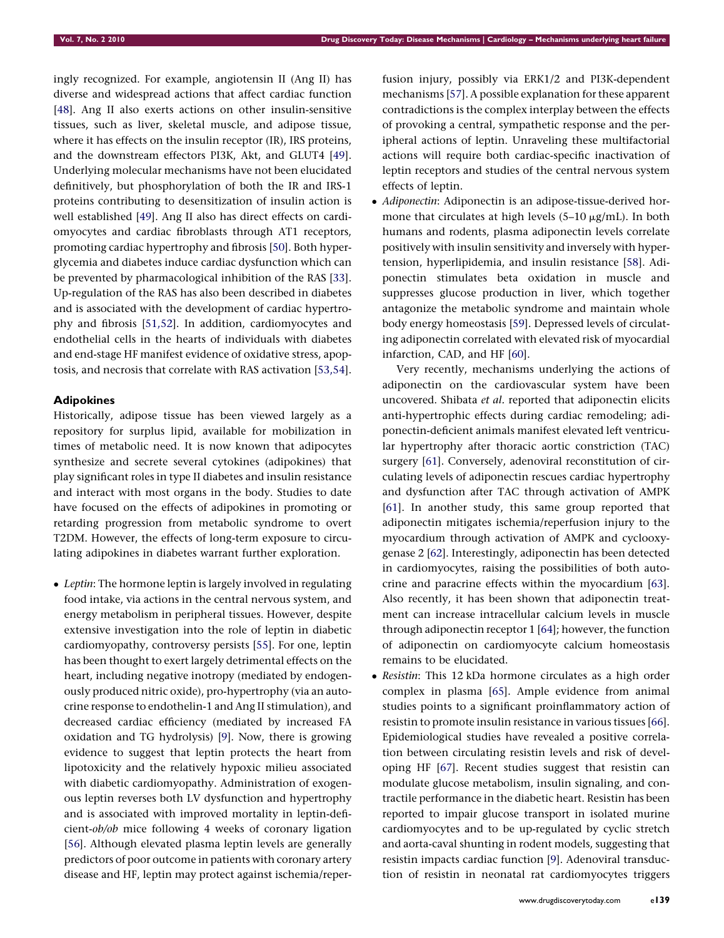ingly recognized. For example, angiotensin II (Ang II) has diverse and widespread actions that affect cardiac function [\[48\]](#page-7-0). Ang II also exerts actions on other insulin-sensitive tissues, such as liver, skeletal muscle, and adipose tissue, where it has effects on the insulin receptor (IR), IRS proteins, and the downstream effectors PI3K, Akt, and GLUT4 [[49](#page-7-0)]. Underlying molecular mechanisms have not been elucidated definitively, but phosphorylation of both the IR and IRS-1 proteins contributing to desensitization of insulin action is well established [\[49](#page-7-0)]. Ang II also has direct effects on cardiomyocytes and cardiac fibroblasts through AT1 receptors, promoting cardiac hypertrophy and fibrosis [[50\]](#page-7-0). Both hyperglycemia and diabetes induce cardiac dysfunction which can be prevented by pharmacological inhibition of the RAS [[33](#page-7-0)]. Up-regulation of the RAS has also been described in diabetes and is associated with the development of cardiac hypertrophy and fibrosis [\[51,52](#page-7-0)]. In addition, cardiomyocytes and endothelial cells in the hearts of individuals with diabetes and end-stage HF manifest evidence of oxidative stress, apoptosis, and necrosis that correlate with RAS activation [[53,54](#page-7-0)].

## Adipokines

Historically, adipose tissue has been viewed largely as a repository for surplus lipid, available for mobilization in times of metabolic need. It is now known that adipocytes synthesize and secrete several cytokines (adipokines) that play significant roles in type II diabetes and insulin resistance and interact with most organs in the body. Studies to date have focused on the effects of adipokines in promoting or retarding progression from metabolic syndrome to overt T2DM. However, the effects of long-term exposure to circulating adipokines in diabetes warrant further exploration.

• *Leptin*: The hormone leptin is largely involved in regulating food intake, via actions in the central nervous system, and energy metabolism in peripheral tissues. However, despite extensive investigation into the role of leptin in diabetic cardiomyopathy, controversy persists [[55](#page-7-0)]. For one, leptin has been thought to exert largely detrimental effects on the heart, including negative inotropy (mediated by endogenously produced nitric oxide), pro-hypertrophy (via an autocrine response to endothelin-1 and Ang II stimulation), and decreased cardiac efficiency (mediated by increased FA oxidation and TG hydrolysis) [\[9\]](#page-6-0). Now, there is growing evidence to suggest that leptin protects the heart from lipotoxicity and the relatively hypoxic milieu associated with diabetic cardiomyopathy. Administration of exogenous leptin reverses both LV dysfunction and hypertrophy and is associated with improved mortality in leptin-deficient-ob/ob mice following 4 weeks of coronary ligation [\[56\]](#page-7-0). Although elevated plasma leptin levels are generally predictors of poor outcome in patients with coronary artery disease and HF, leptin may protect against ischemia/reperfusion injury, possibly via ERK1/2 and PI3K-dependent mechanisms [[57\]](#page-7-0). A possible explanation for these apparent contradictions is the complex interplay between the effects of provoking a central, sympathetic response and the peripheral actions of leptin. Unraveling these multifactorial actions will require both cardiac-specific inactivation of leptin receptors and studies of the central nervous system effects of leptin.

• Adiponectin: Adiponectin is an adipose-tissue-derived hormone that circulates at high levels  $(5-10 \mu g/mL)$ . In both humans and rodents, plasma adiponectin levels correlate positively with insulin sensitivity and inversely with hypertension, hyperlipidemia, and insulin resistance [\[58\]](#page-7-0). Adiponectin stimulates beta oxidation in muscle and suppresses glucose production in liver, which together antagonize the metabolic syndrome and maintain whole body energy homeostasis [[59](#page-7-0)]. Depressed levels of circulating adiponectin correlated with elevated risk of myocardial infarction, CAD, and HF [[60](#page-7-0)].

Very recently, mechanisms underlying the actions of adiponectin on the cardiovascular system have been uncovered. Shibata et al. reported that adiponectin elicits anti-hypertrophic effects during cardiac remodeling; adiponectin-deficient animals manifest elevated left ventricular hypertrophy after thoracic aortic constriction (TAC) surgery [\[61](#page-7-0)]. Conversely, adenoviral reconstitution of circulating levels of adiponectin rescues cardiac hypertrophy and dysfunction after TAC through activation of AMPK [[61\]](#page-7-0). In another study, this same group reported that adiponectin mitigates ischemia/reperfusion injury to the myocardium through activation of AMPK and cyclooxygenase 2 [\[62](#page-7-0)]. Interestingly, adiponectin has been detected in cardiomyocytes, raising the possibilities of both autocrine and paracrine effects within the myocardium [\[63](#page-7-0)]. Also recently, it has been shown that adiponectin treatment can increase intracellular calcium levels in muscle through adiponectin receptor 1 [[64\]](#page-7-0); however, the function of adiponectin on cardiomyocyte calcium homeostasis remains to be elucidated.

• Resistin: This 12 kDa hormone circulates as a high order complex in plasma [\[65\]](#page-7-0). Ample evidence from animal studies points to a significant proinflammatory action of resistin to promote insulin resistance in various tissues [\[66](#page-7-0)]. Epidemiological studies have revealed a positive correlation between circulating resistin levels and risk of developing HF [\[67\]](#page-8-0). Recent studies suggest that resistin can modulate glucose metabolism, insulin signaling, and contractile performance in the diabetic heart. Resistin has been reported to impair glucose transport in isolated murine cardiomyocytes and to be up-regulated by cyclic stretch and aorta-caval shunting in rodent models, suggesting that resistin impacts cardiac function [[9\]](#page-6-0). Adenoviral transduction of resistin in neonatal rat cardiomyocytes triggers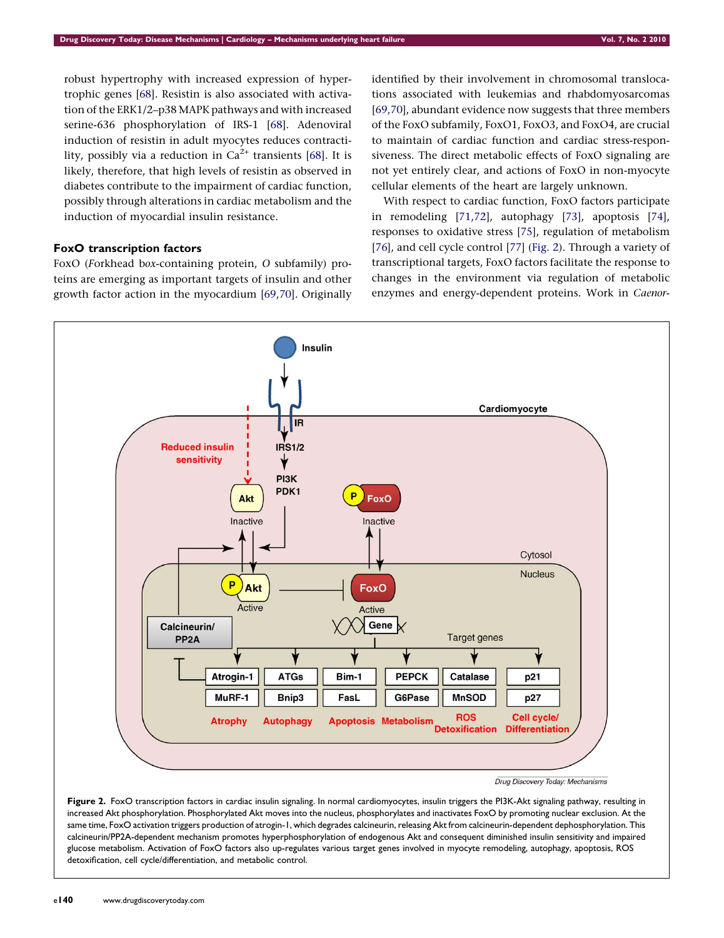<span id="page-5-0"></span>robust hypertrophy with increased expression of hypertrophic genes [[68](#page-8-0)]. Resistin is also associated with activation of the ERK1/2–p38 MAPK pathways and with increased serine-636 phosphorylation of IRS-1 [[68](#page-8-0)]. Adenoviral induction of resistin in adult myocytes reduces contractility, possibly via a reduction in  $Ca^{2+}$  transients [[68](#page-8-0)]. It is likely, therefore, that high levels of resistin as observed in diabetes contribute to the impairment of cardiac function, possibly through alterations in cardiac metabolism and the induction of myocardial insulin resistance.

## FoxO transcription factors

FoxO (Forkhead box-containing protein, O subfamily) proteins are emerging as important targets of insulin and other growth factor action in the myocardium [[69,70\]](#page-8-0). Originally identified by their involvement in chromosomal translocations associated with leukemias and rhabdomyosarcomas [[69,70\]](#page-8-0), abundant evidence now suggests that three members of the FoxO subfamily, FoxO1, FoxO3, and FoxO4, are crucial to maintain of cardiac function and cardiac stress-responsiveness. The direct metabolic effects of FoxO signaling are not yet entirely clear, and actions of FoxO in non-myocyte cellular elements of the heart are largely unknown.

With respect to cardiac function, FoxO factors participate in remodeling [\[71,72\]](#page-8-0), autophagy [[73\]](#page-8-0), apoptosis [\[74](#page-8-0)], responses to oxidative stress [[75\]](#page-8-0), regulation of metabolism [[76\]](#page-8-0), and cell cycle control [\[77\]](#page-8-0) (Fig. 2). Through a variety of transcriptional targets, FoxO factors facilitate the response to changes in the environment via regulation of metabolic enzymes and energy-dependent proteins. Work in Caenor-



Figure 2. FoxO transcription factors in cardiac insulin signaling. In normal cardiomyocytes, insulin triggers the PI3K-Akt signaling pathway, resulting in increased Akt phosphorylation. Phosphorylated Akt moves into the nucleus, phosphorylates and inactivates FoxO by promoting nuclear exclusion. At the same time, FoxO activation triggers production of atrogin-1, which degrades calcineurin, releasing Akt from calcineurin-dependent dephosphorylation. This calcineurin/PP2A-dependent mechanism promotes hyperphosphorylation of endogenous Akt and consequent diminished insulin sensitivity and impaired glucose metabolism. Activation of FoxO factors also up-regulates various target genes involved in myocyte remodeling, autophagy, apoptosis, ROS detoxification, cell cycle/differentiation, and metabolic control.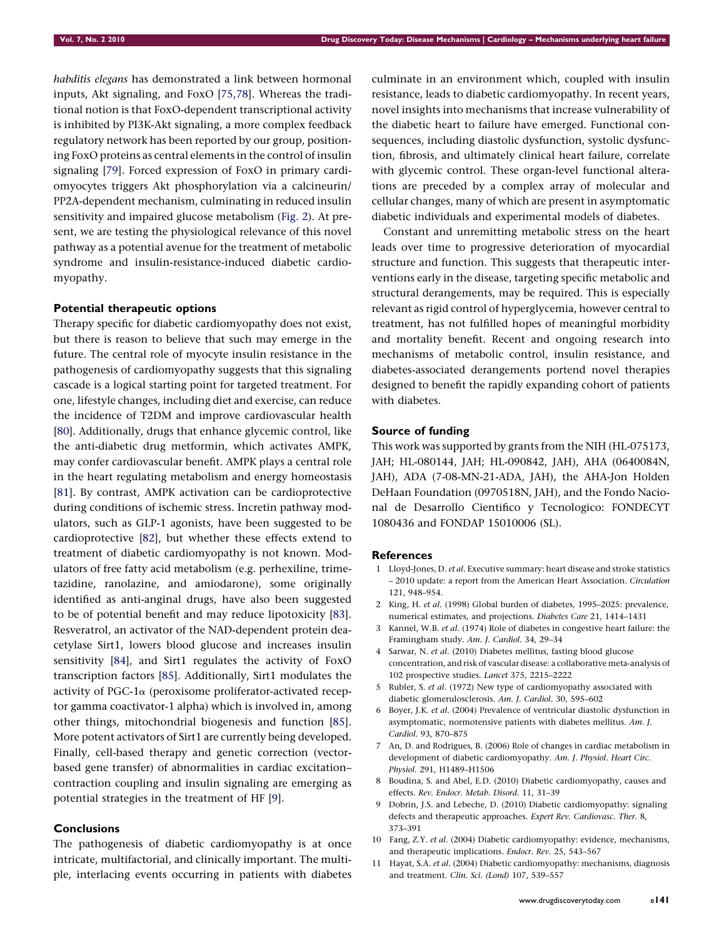<span id="page-6-0"></span>habditis elegans has demonstrated a link between hormonal inputs, Akt signaling, and FoxO [\[75,78](#page-8-0)]. Whereas the traditional notion is that FoxO-dependent transcriptional activity is inhibited by PI3K-Akt signaling, a more complex feedback regulatory network has been reported by our group, positioning FoxO proteins as central elements in the control of insulin signaling [[79](#page-8-0)]. Forced expression of FoxO in primary cardiomyocytes triggers Akt phosphorylation via a calcineurin/ PP2A-dependent mechanism, culminating in reduced insulin sensitivity and impaired glucose metabolism ([Fig. 2\)](#page-5-0). At present, we are testing the physiological relevance of this novel pathway as a potential avenue for the treatment of metabolic syndrome and insulin-resistance-induced diabetic cardiomyopathy.

### Potential therapeutic options

Therapy specific for diabetic cardiomyopathy does not exist, but there is reason to believe that such may emerge in the future. The central role of myocyte insulin resistance in the pathogenesis of cardiomyopathy suggests that this signaling cascade is a logical starting point for targeted treatment. For one, lifestyle changes, including diet and exercise, can reduce the incidence of T2DM and improve cardiovascular health [\[80\]](#page-8-0). Additionally, drugs that enhance glycemic control, like the anti-diabetic drug metformin, which activates AMPK, may confer cardiovascular benefit. AMPK plays a central role in the heart regulating metabolism and energy homeostasis [\[81\]](#page-8-0). By contrast, AMPK activation can be cardioprotective during conditions of ischemic stress. Incretin pathway modulators, such as GLP-1 agonists, have been suggested to be cardioprotective [[82](#page-8-0)], but whether these effects extend to treatment of diabetic cardiomyopathy is not known. Modulators of free fatty acid metabolism (e.g. perhexiline, trimetazidine, ranolazine, and amiodarone), some originally identified as anti-anginal drugs, have also been suggested to be of potential benefit and may reduce lipotoxicity [[83](#page-8-0)]. Resveratrol, an activator of the NAD-dependent protein deacetylase Sirt1, lowers blood glucose and increases insulin sensitivity [\[84\]](#page-8-0), and Sirt1 regulates the activity of FoxO transcription factors [\[85](#page-8-0)]. Additionally, Sirt1 modulates the activity of PGC-1 $\alpha$  (peroxisome proliferator-activated receptor gamma coactivator-1 alpha) which is involved in, among other things, mitochondrial biogenesis and function [[85](#page-8-0)]. More potent activators of Sirt1 are currently being developed. Finally, cell-based therapy and genetic correction (vectorbased gene transfer) of abnormalities in cardiac excitation– contraction coupling and insulin signaling are emerging as potential strategies in the treatment of HF [9].

## Conclusions

The pathogenesis of diabetic cardiomyopathy is at once intricate, multifactorial, and clinically important. The multiple, interlacing events occurring in patients with diabetes culminate in an environment which, coupled with insulin resistance, leads to diabetic cardiomyopathy. In recent years, novel insights into mechanisms that increase vulnerability of the diabetic heart to failure have emerged. Functional consequences, including diastolic dysfunction, systolic dysfunction, fibrosis, and ultimately clinical heart failure, correlate with glycemic control. These organ-level functional alterations are preceded by a complex array of molecular and cellular changes, many of which are present in asymptomatic diabetic individuals and experimental models of diabetes.

Constant and unremitting metabolic stress on the heart leads over time to progressive deterioration of myocardial structure and function. This suggests that therapeutic interventions early in the disease, targeting specific metabolic and structural derangements, may be required. This is especially relevant as rigid control of hyperglycemia, however central to treatment, has not fulfilled hopes of meaningful morbidity and mortality benefit. Recent and ongoing research into mechanisms of metabolic control, insulin resistance, and diabetes-associated derangements portend novel therapies designed to benefit the rapidly expanding cohort of patients with diabetes.

## Source of funding

This work was supported by grants from the NIH (HL-075173, JAH; HL-080144, JAH; HL-090842, JAH), AHA (0640084N, JAH), ADA (7-08-MN-21-ADA, JAH), the AHA-Jon Holden DeHaan Foundation (0970518N, JAH), and the Fondo Nacional de Desarrollo Cientifico y Tecnologico: FONDECYT 1080436 and FONDAP 15010006 (SL).

#### References

- 1 Lloyd-Jones, D. et al. Executive summary: heart disease and stroke statistics – 2010 update: a report from the American Heart Association. Circulation 121, 948–954.
- 2 King, H. et al. (1998) Global burden of diabetes, 1995–2025: prevalence, numerical estimates, and projections. Diabetes Care 21, 1414–1431
- 3 Kannel, W.B. et al. (1974) Role of diabetes in congestive heart failure: the Framingham study. Am. J. Cardiol. 34, 29–34
- 4 Sarwar, N. et al. (2010) Diabetes mellitus, fasting blood glucose concentration, and risk of vascular disease: a collaborative meta-analysis of 102 prospective studies. Lancet 375, 2215–2222
- 5 Rubler, S. et al. (1972) New type of cardiomyopathy associated with diabetic glomerulosclerosis. Am. J. Cardiol. 30, 595–602
- 6 Boyer, J.K. et al. (2004) Prevalence of ventricular diastolic dysfunction in asymptomatic, normotensive patients with diabetes mellitus. Am. J. Cardiol. 93, 870–875
- 7 An, D. and Rodrigues, B. (2006) Role of changes in cardiac metabolism in development of diabetic cardiomyopathy. Am. J. Physiol. Heart Circ. Physiol. 291, H1489–H1506
- 8 Boudina, S. and Abel, E.D. (2010) Diabetic cardiomyopathy, causes and effects. Rev. Endocr. Metab. Disord. 11, 31–39
- 9 Dobrin, J.S. and Lebeche, D. (2010) Diabetic cardiomyopathy: signaling defects and therapeutic approaches. Expert Rev. Cardiovasc. Ther. 8, 373–391
- 10 Fang, Z.Y. et al. (2004) Diabetic cardiomyopathy: evidence, mechanisms, and therapeutic implications. Endocr. Rev. 25, 543–567
- 11 Hayat, S.A. et al. (2004) Diabetic cardiomyopathy: mechanisms, diagnosis and treatment. Clin. Sci. (Lond) 107, 539–557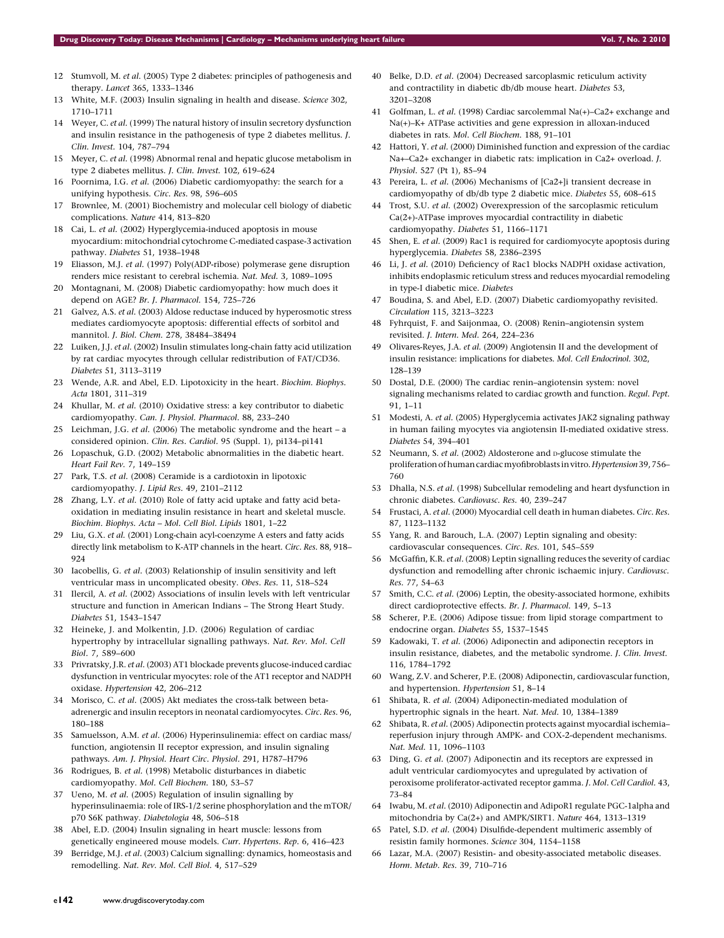- <span id="page-7-0"></span>12 Stumvoll, M. et al. (2005) Type 2 diabetes: principles of pathogenesis and therapy. Lancet 365, 1333–1346
- 13 White, M.F. (2003) Insulin signaling in health and disease. Science 302, 1710–1711
- 14 Weyer, C. et al. (1999) The natural history of insulin secretory dysfunction and insulin resistance in the pathogenesis of type 2 diabetes mellitus. J. Clin. Invest. 104, 787–794
- 15 Meyer, C. et al. (1998) Abnormal renal and hepatic glucose metabolism in type 2 diabetes mellitus. J. Clin. Invest. 102, 619–624
- 16 Poornima, I.G. et al. (2006) Diabetic cardiomyopathy: the search for a unifying hypothesis. Circ. Res. 98, 596–605
- Brownlee, M. (2001) Biochemistry and molecular cell biology of diabetic complications. Nature 414, 813–820
- 18 Cai, L. et al. (2002) Hyperglycemia-induced apoptosis in mouse myocardium: mitochondrial cytochrome C-mediated caspase-3 activation pathway. Diabetes 51, 1938–1948
- 19 Eliasson, M.J. et al. (1997) Poly(ADP-ribose) polymerase gene disruption renders mice resistant to cerebral ischemia. Nat. Med. 3, 1089–1095
- 20 Montagnani, M. (2008) Diabetic cardiomyopathy: how much does it depend on AGE? Br. J. Pharmacol. 154, 725–726
- 21 Galvez, A.S. et al. (2003) Aldose reductase induced by hyperosmotic stress mediates cardiomyocyte apoptosis: differential effects of sorbitol and mannitol. J. Biol. Chem. 278, 38484–38494
- 22 Luiken, J.J. et al. (2002) Insulin stimulates long-chain fatty acid utilization by rat cardiac myocytes through cellular redistribution of FAT/CD36. Diabetes 51, 3113–3119
- 23 Wende, A.R. and Abel, E.D. Lipotoxicity in the heart. Biochim. Biophys. Acta 1801, 311–319
- 24 Khullar, M. et al. (2010) Oxidative stress: a key contributor to diabetic cardiomyopathy. Can. J. Physiol. Pharmacol. 88, 233–240
- 25 Leichman, J.G. et al. (2006) The metabolic syndrome and the heart a considered opinion. Clin. Res. Cardiol. 95 (Suppl. 1), pi134–pi141
- 26 Lopaschuk, G.D. (2002) Metabolic abnormalities in the diabetic heart. Heart Fail Rev. 7, 149–159
- 27 Park, T.S. et al. (2008) Ceramide is a cardiotoxin in lipotoxic cardiomyopathy. J. Lipid Res. 49, 2101–2112
- 28 Zhang, L.Y. et al. (2010) Role of fatty acid uptake and fatty acid betaoxidation in mediating insulin resistance in heart and skeletal muscle. Biochim. Biophys. Acta – Mol. Cell Biol. Lipids 1801, 1–22
- 29 Liu, G.X. et al. (2001) Long-chain acyl-coenzyme A esters and fatty acids directly link metabolism to K-ATP channels in the heart. Circ. Res. 88, 918– 924
- 30 Iacobellis, G. et al. (2003) Relationship of insulin sensitivity and left ventricular mass in uncomplicated obesity. Obes. Res. 11, 518–524
- 31 Ilercil, A. et al. (2002) Associations of insulin levels with left ventricular structure and function in American Indians – The Strong Heart Study. Diabetes 51, 1543–1547
- 32 Heineke, J. and Molkentin, J.D. (2006) Regulation of cardiac hypertrophy by intracellular signalling pathways. Nat. Rev. Mol. Cell Biol. 7, 589–600
- 33 Privratsky, J.R. et al. (2003) AT1 blockade prevents glucose-induced cardiac dysfunction in ventricular myocytes: role of the AT1 receptor and NADPH oxidase. Hypertension 42, 206–212
- 34 Morisco, C. et al. (2005) Akt mediates the cross-talk between betaadrenergic and insulin receptors in neonatal cardiomyocytes. Circ. Res. 96, 180–188
- 35 Samuelsson, A.M. et al. (2006) Hyperinsulinemia: effect on cardiac mass/ function, angiotensin II receptor expression, and insulin signaling pathways. Am. J. Physiol. Heart Circ. Physiol. 291, H787–H796
- 36 Rodrigues, B. et al. (1998) Metabolic disturbances in diabetic cardiomyopathy. Mol. Cell Biochem. 180, 53–57
- 37 Ueno, M. et al. (2005) Regulation of insulin signalling by hyperinsulinaemia: role of IRS-1/2 serine phosphorylation and the mTOR/ p70 S6K pathway. Diabetologia 48, 506-518
- 38 Abel, E.D. (2004) Insulin signaling in heart muscle: lessons from genetically engineered mouse models. Curr. Hypertens. Rep. 6, 416–423
- 39 Berridge, M.J. et al. (2003) Calcium signalling: dynamics, homeostasis and remodelling. Nat. Rev. Mol. Cell Biol. 4, 517–529
- 40 Belke, D.D. et al. (2004) Decreased sarcoplasmic reticulum activity and contractility in diabetic db/db mouse heart. Diabetes 53, 3201–3208
- 41 Golfman, L. et al. (1998) Cardiac sarcolemmal Na(+)–Ca2+ exchange and Na(+)–K+ ATPase activities and gene expression in alloxan-induced diabetes in rats. Mol. Cell Biochem. 188, 91–101
- 42 Hattori, Y. et al. (2000) Diminished function and expression of the cardiac Na+–Ca2+ exchanger in diabetic rats: implication in Ca2+ overload. J. Physiol. 527 (Pt 1), 85–94
- 43 Pereira, L. et al. (2006) Mechanisms of [Ca2+]i transient decrease in cardiomyopathy of db/db type 2 diabetic mice. Diabetes 55, 608–615
- 44 Trost, S.U. et al. (2002) Overexpression of the sarcoplasmic reticulum Ca(2+)-ATPase improves myocardial contractility in diabetic cardiomyopathy. Diabetes 51, 1166–1171
- 45 Shen, E. et al. (2009) Rac1 is required for cardiomyocyte apoptosis during hyperglycemia. Diabetes 58, 2386–2395
- 46 Li, J. et al. (2010) Deficiency of Rac1 blocks NADPH oxidase activation, inhibits endoplasmic reticulum stress and reduces myocardial remodeling in type-I diabetic mice. Diabetes
- 47 Boudina, S. and Abel, E.D. (2007) Diabetic cardiomyopathy revisited. Circulation 115, 3213–3223
- 48 Fyhrquist, F. and Saijonmaa, O. (2008) Renin–angiotensin system revisited. J. Intern. Med. 264, 224–236
- 49 Olivares-Reyes, J.A. et al. (2009) Angiotensin II and the development of insulin resistance: implications for diabetes. Mol. Cell Endocrinol. 302, 128–139
- 50 Dostal, D.E. (2000) The cardiac renin–angiotensin system: novel signaling mechanisms related to cardiac growth and function. Regul. Pept. 91, 1–11
- 51 Modesti, A. et al. (2005) Hyperglycemia activates JAK2 signaling pathway in human failing myocytes via angiotensin II-mediated oxidative stress. Diabetes 54, 394–401
- 52 Neumann, S. et al. (2002) Aldosterone and D-glucose stimulate the proliferation of human cardiac myofibroblasts in vitro. Hypertension 39,756– 760
- 53 Dhalla, N.S. et al. (1998) Subcellular remodeling and heart dysfunction in chronic diabetes. Cardiovasc. Res. 40, 239–247
- 54 Frustaci, A. et al. (2000) Myocardial cell death in human diabetes. Circ. Res. 87, 1123–1132
- 55 Yang, R. and Barouch, L.A. (2007) Leptin signaling and obesity: cardiovascular consequences. Circ. Res. 101, 545–559
- 56 McGaffin, K.R. et al. (2008) Leptin signalling reduces the severity of cardiac dysfunction and remodelling after chronic ischaemic injury. Cardiovasc. Res. 77, 54–63
- 57 Smith, C.C. et al. (2006) Leptin, the obesity-associated hormone, exhibits direct cardioprotective effects. Br. J. Pharmacol. 149, 5–13
- 58 Scherer, P.E. (2006) Adipose tissue: from lipid storage compartment to endocrine organ. Diabetes 55, 1537–1545
- 59 Kadowaki, T. et al. (2006) Adiponectin and adiponectin receptors in insulin resistance, diabetes, and the metabolic syndrome. J. Clin. Invest. 116, 1784–1792
- 60 Wang, Z.V. and Scherer, P.E. (2008) Adiponectin, cardiovascular function, and hypertension. Hypertension 51, 8–14
- 61 Shibata, R. et al. (2004) Adiponectin-mediated modulation of hypertrophic signals in the heart. Nat. Med. 10, 1384–1389
- 62 Shibata, R. et al. (2005) Adiponectin protects against myocardial ischemia– reperfusion injury through AMPK- and COX-2-dependent mechanisms. Nat. Med. 11, 1096–1103
- 63 Ding, G. et al. (2007) Adiponectin and its receptors are expressed in adult ventricular cardiomyocytes and upregulated by activation of peroxisome proliferator-activated receptor gamma. J. Mol. Cell Cardiol. 43, 73–84
- 64 Iwabu, M. et al. (2010) Adiponectin and AdipoR1 regulate PGC-1alpha and mitochondria by Ca(2+) and AMPK/SIRT1. Nature 464, 1313–1319
- 65 Patel, S.D. et al. (2004) Disulfide-dependent multimeric assembly of resistin family hormones. Science 304, 1154–1158
- 66 Lazar, M.A. (2007) Resistin- and obesity-associated metabolic diseases. Horm. Metab. Res. 39, 710–716